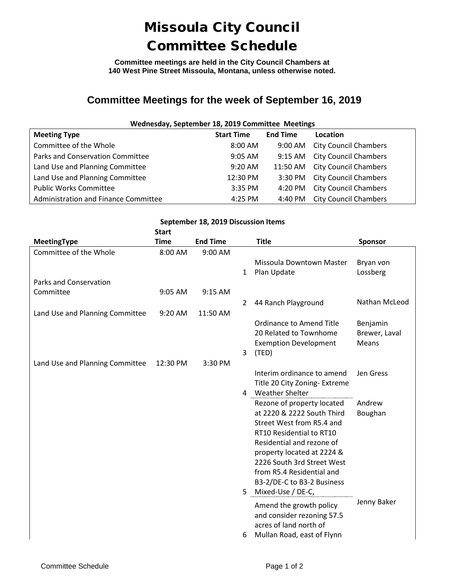## Missoula City Council Committee Schedule

**Committee meetings are held in the City Council Chambers at 140 West Pine Street Missoula, Montana, unless otherwise noted.**

## **Committee Meetings for the week of September 16, 2019**

| Wednesday, September 18, 2019 Committee Meetings |                   |                   |                              |  |  |  |  |
|--------------------------------------------------|-------------------|-------------------|------------------------------|--|--|--|--|
| <b>Meeting Type</b>                              | <b>Start Time</b> | <b>End Time</b>   | Location                     |  |  |  |  |
| Committee of the Whole                           | $8:00$ AM         | $9:00 \text{ AM}$ | <b>City Council Chambers</b> |  |  |  |  |
| Parks and Conservation Committee                 | $9:05$ AM         | $9:15 \text{ AM}$ | <b>City Council Chambers</b> |  |  |  |  |
| Land Use and Planning Committee                  | $9:20$ AM         | 11:50 AM          | <b>City Council Chambers</b> |  |  |  |  |
| Land Use and Planning Committee                  | 12:30 PM          | 3:30 PM           | <b>City Council Chambers</b> |  |  |  |  |
| <b>Public Works Committee</b>                    | $3:35$ PM         | 4:20 PM           | <b>City Council Chambers</b> |  |  |  |  |
| Administration and Finance Committee             | $4:25$ PM         | 4:40 PM           | <b>City Council Chambers</b> |  |  |  |  |

| September 18, 2019 Discussion Items<br><b>Start</b> |             |                 |                |                                                                                                                                                                                                                                                                                              |                                    |  |  |  |
|-----------------------------------------------------|-------------|-----------------|----------------|----------------------------------------------------------------------------------------------------------------------------------------------------------------------------------------------------------------------------------------------------------------------------------------------|------------------------------------|--|--|--|
| <b>MeetingType</b>                                  | <b>Time</b> | <b>End Time</b> |                | <b>Title</b>                                                                                                                                                                                                                                                                                 | <b>Sponsor</b>                     |  |  |  |
| Committee of the Whole                              | 8:00 AM     | 9:00 AM         | $\mathbf{1}$   | Missoula Downtown Master<br>Plan Update                                                                                                                                                                                                                                                      | Bryan von<br>Lossberg              |  |  |  |
| Parks and Conservation                              |             |                 |                |                                                                                                                                                                                                                                                                                              |                                    |  |  |  |
| Committee                                           | 9:05 AM     | 9:15 AM         | $\overline{2}$ | 44 Ranch Playground                                                                                                                                                                                                                                                                          | Nathan McLeod                      |  |  |  |
| Land Use and Planning Committee                     | 9:20 AM     | 11:50 AM        |                |                                                                                                                                                                                                                                                                                              |                                    |  |  |  |
|                                                     |             |                 | 3              | <b>Ordinance to Amend Title</b><br>20 Related to Townhome<br><b>Exemption Development</b><br>(TED)                                                                                                                                                                                           | Benjamin<br>Brewer, Laval<br>Means |  |  |  |
| Land Use and Planning Committee                     | 12:30 PM    | 3:30 PM         |                |                                                                                                                                                                                                                                                                                              |                                    |  |  |  |
|                                                     |             |                 |                | Interim ordinance to amend<br>Title 20 City Zoning- Extreme<br>4 Weather Shelter                                                                                                                                                                                                             | Jen Gress                          |  |  |  |
|                                                     |             |                 |                | Rezone of property located<br>at 2220 & 2222 South Third<br>Street West from R5.4 and<br>RT10 Residential to RT10<br>Residential and rezone of<br>property located at 2224 &<br>2226 South 3rd Street West<br>from R5.4 Residential and<br>B3-2/DE-C to B3-2 Business<br>5 Mixed-Use / DE-C, | Andrew<br>Boughan                  |  |  |  |
|                                                     |             |                 | 6              | Amend the growth policy<br>and consider rezoning 57.5<br>acres of land north of<br>Mullan Road, east of Flynn                                                                                                                                                                                | Jenny Baker                        |  |  |  |